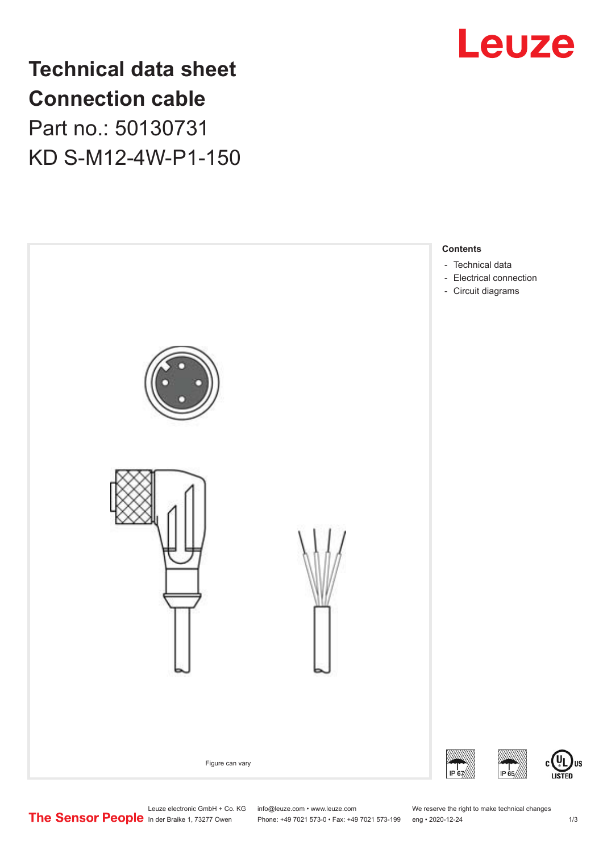

# **Technical data sheet Connection cable** Part no.: 50130731 KD S-M12-4W-P1-150



Leuze electronic GmbH + Co. KG info@leuze.com • www.leuze.com We reserve the right to make technical changes<br>
The Sensor People in der Braike 1, 73277 Owen Phone: +49 7021 573-0 • Fax: +49 7021 573-199 eng • 2020-12-24

Phone: +49 7021 573-0 • Fax: +49 7021 573-199 eng • 2020-12-24 1 2020-12-24

US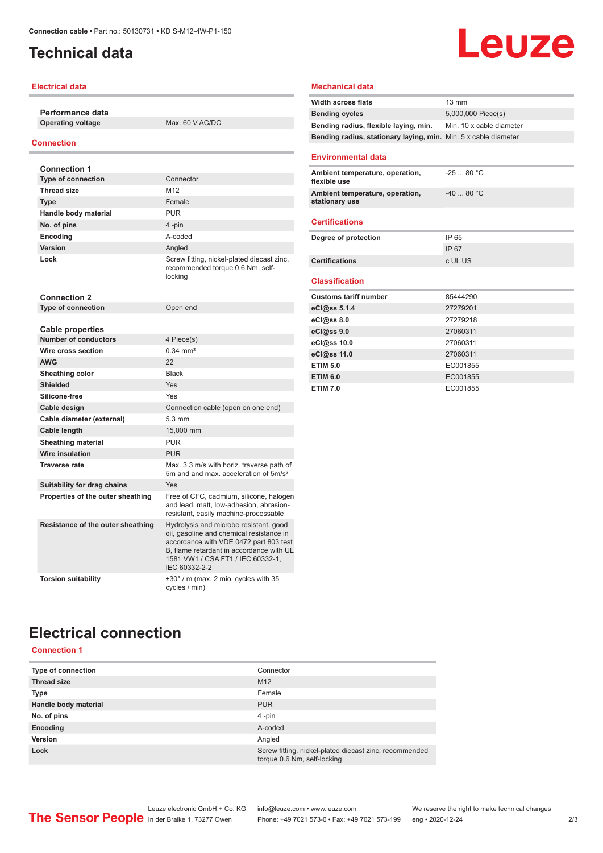## <span id="page-1-0"></span>**Technical data**

### **Electrical data**

**Performance data Operating voltage** Max. 60 V AC/DC

#### **Connection**

| <b>Connection 1</b>                                    |                                                                                                                                                                                                                                |
|--------------------------------------------------------|--------------------------------------------------------------------------------------------------------------------------------------------------------------------------------------------------------------------------------|
| <b>Type of connection</b>                              | Connector                                                                                                                                                                                                                      |
| <b>Thread size</b>                                     | M <sub>12</sub>                                                                                                                                                                                                                |
| <b>Type</b>                                            | Female                                                                                                                                                                                                                         |
| Handle body material                                   | <b>PUR</b>                                                                                                                                                                                                                     |
| No. of pins                                            | 4-pin                                                                                                                                                                                                                          |
| Encoding                                               | hehon-A                                                                                                                                                                                                                        |
| Version                                                | Angled                                                                                                                                                                                                                         |
| Lock                                                   | Screw fitting, nickel-plated diecast zinc,<br>recommended torque 0.6 Nm, self-<br>locking                                                                                                                                      |
| <b>Connection 2</b>                                    |                                                                                                                                                                                                                                |
| <b>Type of connection</b>                              | Open end                                                                                                                                                                                                                       |
|                                                        |                                                                                                                                                                                                                                |
| <b>Cable properties</b><br><b>Number of conductors</b> | 4 Piece(s)                                                                                                                                                                                                                     |
| Wire cross section                                     | $0.34 \, \text{mm}^2$                                                                                                                                                                                                          |
| <b>AWG</b>                                             | 22                                                                                                                                                                                                                             |
| Sheathing color                                        | <b>Black</b>                                                                                                                                                                                                                   |
| <b>Shielded</b>                                        | Yes                                                                                                                                                                                                                            |
| Silicone-free                                          | Yes                                                                                                                                                                                                                            |
| Cable design                                           | Connection cable (open on one end)                                                                                                                                                                                             |
| Cable diameter (external)                              | 5.3 mm                                                                                                                                                                                                                         |
| Cable length                                           | 15,000 mm                                                                                                                                                                                                                      |
| <b>Sheathing material</b>                              | <b>PUR</b>                                                                                                                                                                                                                     |
| Wire insulation                                        | <b>PUR</b>                                                                                                                                                                                                                     |
| <b>Traverse rate</b>                                   | Max. 3.3 m/s with horiz. traverse path of<br>5m and and max, acceleration of 5m/s <sup>2</sup>                                                                                                                                 |
| Suitability for drag chains                            | Yes                                                                                                                                                                                                                            |
| Properties of the outer sheathing                      | Free of CFC, cadmium, silicone, halogen<br>and lead, matt, low-adhesion, abrasion-<br>resistant, easily machine-processable                                                                                                    |
| Resistance of the outer sheathing                      | Hydrolysis and microbe resistant, good<br>oil, gasoline and chemical resistance in<br>accordance with VDE 0472 part 803 test<br>B, flame retardant in accordance with UL<br>1581 VW1 / CSA FT1 / IEC 60332-1.<br>IEC 60332-2-2 |
| <b>Torsion suitability</b>                             | ±30° / m (max. 2 mio. cycles with 35<br>cycles / min)                                                                                                                                                                          |

### **Mechanical data**

| Width across flats                                              | $13 \text{ mm}$          |
|-----------------------------------------------------------------|--------------------------|
| <b>Bending cycles</b>                                           | 5,000,000 Piece(s)       |
| Bending radius, flexible laying, min.                           | Min. 10 x cable diameter |
| Bending radius, stationary laying, min. Min. 5 x cable diameter |                          |
| <b>Environmental data</b>                                       |                          |
| Ambient temperature, operation,<br>flexible use                 | $-2580 °C$               |
| Ambient temperature, operation,<br>stationary use               | $-4080 °C$               |
| <b>Certifications</b>                                           |                          |
| Degree of protection                                            | IP 65                    |
|                                                                 | <b>IP67</b>              |
| <b>Certifications</b>                                           | c UL US                  |
| <b>Classification</b>                                           |                          |
| <b>Customs tariff number</b>                                    | 85444290                 |
| eCl@ss 5.1.4                                                    | 27279201                 |
| eCl@ss 8.0                                                      | 27279218                 |
| eCl@ss 9.0                                                      | 27060311                 |
| eCl@ss 10.0                                                     | 27060311                 |
| eCl@ss 11.0                                                     | 27060311                 |
| <b>ETIM 5.0</b>                                                 | EC001855                 |
| <b>ETIM 6.0</b>                                                 | EC001855                 |
| <b>ETIM 7.0</b>                                                 | EC001855                 |

# **Electrical connection**

### **Connection 1**

| Type of connection   | Connector                                                                             |
|----------------------|---------------------------------------------------------------------------------------|
| <b>Thread size</b>   | M <sub>12</sub>                                                                       |
| <b>Type</b>          | Female                                                                                |
| Handle body material | <b>PUR</b>                                                                            |
| No. of pins          | 4-pin                                                                                 |
| Encoding             | A-coded                                                                               |
| Version              | Angled                                                                                |
| Lock                 | Screw fitting, nickel-plated diecast zinc, recommended<br>torque 0.6 Nm, self-locking |

Leuze

| <b>Customs tariff number</b> | 85444290 |  |
|------------------------------|----------|--|
| eCl@ss 5.1.4                 | 27279201 |  |
| eCl@ss 8.0                   | 27279218 |  |
| eCl@ss 9.0                   | 27060311 |  |
| eCl@ss 10.0                  | 27060311 |  |
| eCl@ss 11.0                  | 27060311 |  |
| <b>ETIM 5.0</b>              | EC001855 |  |
| <b>ETIM 6.0</b>              | EC001855 |  |
| <b>ETIM 7.0</b>              | EC001855 |  |
|                              |          |  |